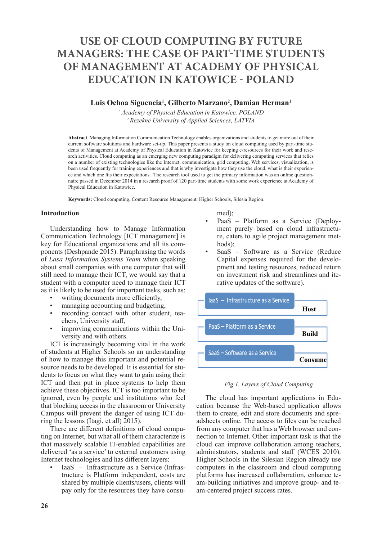# **USE OF CLOUD COMPUTING BY FUTURE MANAGERS: THE CASE OF PART-TIME STUDENTS OF MANAGEMENT AT ACADEMY OF PHYSICAL EDUCATION IN KATOWICE - POLAND**

# **Luis Ochoa Siguencia<sup>1</sup> , Gilberto Marzano<sup>2</sup> , Damian Herman<sup>1</sup>**

*1 Academy of Physical Education in Katowice, POLAND <sup>2</sup>Rezekne University of Applied Sciences, LATVIA*

**Abstract**. Managing Information Communication Technology enables organizations and students to get more out of their current software solutions and hardware set-up. This paper presents a study on cloud computing used by part-time students of Management at Academy of Physical Education in Katowice for keeping e-resources for their work and research activities. Cloud computing as an emerging new computing paradigm for delivering computing services that relies on a number of existing technologies like the Internet, communication, grid computing, Web services, visualization, is been used frequently for training experiences and that is why investigate how they use the cloud, what is their experience and which one fits their expectations. The research tool used to get the primary information was an online questionnaire passed in December 2014 in a research proof of 120 part-time students with some work experience at Academy of Physical Education in Katowice.

**Keywords:** Cloud computing, Content Resource Management, Higher Schools, Silesia Region.

## **Introduction**

Understanding how to Manage Information Communication Technology [ICT management] is key for Educational organizations and all its components (Deshpande 2015). Paraphrasing the words of *Lasa Information Systems Team* when speaking about small companies with one computer that will still need to manage their ICT, we would say that a student with a computer need to manage their ICT as it is likely to be used for important tasks, such as:

- writing documents more efficiently,
- managing accounting and budgeting.
- recording contact with other student, teachers, University staff,
- improving communications within the University and with others.

ICT is increasingly becoming vital in the work of students at Higher Schools so an understanding of how to manage this important and potential resource needs to be developed. It is essential for students to focus on what they want to gain using their ICT and then put in place systems to help them achieve these objectives. ICT is too important to be ignored, even by people and institutions who feel that blocking access in the classroom or University Campus will prevent the danger of using ICT during the lessons (Itagi, et all) 2015).

There are different definitions of cloud computing on Internet, but what all of them characterize is that massively scalable IT-enabled capabilities are delivered 'as a service' to external customers using Internet technologies and has different layers:

• IaaS – Infrastructure as a Service (Infrastructure is Platform independent, costs are shared by multiple clients/users, clients will pay only for the resources they have consumed);

- PaaS Platform as a Service (Deployment purely based on cloud infrastructure, caters to agile project management methods);
- SaaS Software as a Service (Reduce Capital expenses required for the development and testing resources, reduced return on investment risk and streamlines and iterative updates of the software).



## *Fig.1. Layers of Cloud Computing*

The cloud has important applications in Education because the Web-based application allows them to create, edit and store documents and spreadsheets online. The access to files can be reached from any computer that has a Web browser and connection to Internet. Other important task is that the cloud can improve collaboration among teachers, administrators, students and staff (WCES 2010). Higher Schools in the Silesian Region already use computers in the classroom and cloud computing platforms has increased collaboration, enhance team-building initiatives and improve group- and team-centered project success rates.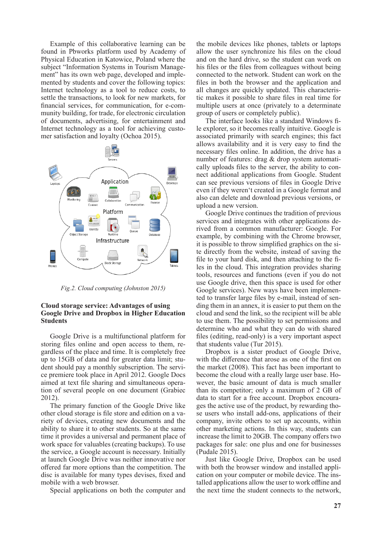Example of this collaborative learning can be found in Pbworks platform used by Academy of Physical Education in Katowice, Poland where the subject "Information Systems in Tourism Management" has its own web page, developed and implemented by students and cover the following topics: Internet technology as a tool to reduce costs, to settle the transactions, to look for new markets, for financial services, for communication, for e-community building, for trade, for electronic circulation of documents, advertising, for entertainment and Internet technology as a tool for achieving customer satisfaction and loyalty (Ochoa 2015).



*Fig.2. Cloud computing (Johnston 2015)*

## **Cloud storage service: Advantages of using Google Drive and Dropbox in Higher Education Students**

Google Drive is a multifunctional platform for storing files online and open access to them, regardless of the place and time. It is completely free up to 15GB of data and for greater data limit; student should pay a monthly subscription. The service premiere took place in April 2012. Google Docs aimed at text file sharing and simultaneous operation of several people on one document (Grabiec 2012).

The primary function of the Google Drive like other cloud storage is file store and edition on a variety of devices, creating new documents and the ability to share it to other students. So at the same time it provides a universal and permanent place of work space for valuables (creating backups). To use the service, a Google account is necessary. Initially at launch Google Drive was neither innovative nor offered far more options than the competition. The disc is available for many types devises, fixed and mobile with a web browser.

Special applications on both the computer and

the mobile devices like phones, tablets or laptops allow the user synchronize his files on the cloud and on the hard drive, so the student can work on his files or the files from colleagues without being connected to the network. Student can work on the files in both the browser and the application and all changes are quickly updated. This characteristic makes it possible to share files in real time for multiple users at once (privately to a determinate group of users or completely public).

The interface looks like a standard Windows file explorer, so it becomes really intuitive. Google is associated primarily with search engines; this fact allows availability and it is very easy to find the necessary files online. In addition, the drive has a number of features: drag & drop system automatically uploads files to the server, the ability to connect additional applications from Google. Student can see previous versions of files in Google Drive even if they weren't created in a Google format and also can delete and download previous versions, or upload a new version.

Google Drive continues the tradition of previous services and integrates with other applications derived from a common manufacturer: Google. For example, by combining with the Chrome browser, it is possible to throw simplified graphics on the site directly from the website, instead of saving the file to your hard disk, and then attaching to the files in the cloud. This integration provides sharing tools, resources and functions (even if you do not use Google drive, then this space is used for other Google services). New ways have been implemented to transfer large files by e-mail, instead of sending them in an annex, it is easier to put them on the cloud and send the link, so the recipient will be able to use them. The possibility to set permissions and determine who and what they can do with shared files (editing, read-only) is a very important aspect that students value (Tur 2015).

Dropbox is a sister product of Google Drive, with the difference that arose as one of the first on the market (2008). This fact has been important to become the cloud with a really large user base. However, the basic amount of data is much smaller than its competitor; only a maximum of 2 GB of data to start for a free account. Dropbox encourages the active use of the product, by rewarding those users who install add-ons, applications of their company, invite others to set up accounts, within other marketing actions. In this way, students can increase the limit to 20GB. The company offers two packages for sale: one plus and one for businesses (Pudale 2015).

Just like Google Drive, Dropbox can be used with both the browser window and installed application on your computer or mobile device. The installed applications allow the user to work offline and the next time the student connects to the network,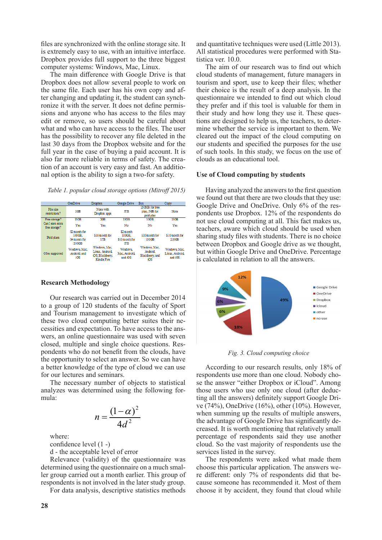files are synchronized with the online storage site. It is extremely easy to use, with an intuitive interface. Dropbox provides full support to the three biggest computer systems: Windows, Mac, Linux.

The main difference with Google Drive is that Dropbox does not allow several people to work on the same file. Each user has his own copy and after changing and updating it, the student can synchronize it with the server. It does not define permissions and anyone who has access to the files may edit or remove, so users should be careful about what and who can have access to the files. The user has the possibility to recover any file deleted in the last 30 days from the Dropbox website and for the full year in the case of buying a paid account. It is also far more reliable in terms of safety. The creation of an account is very easy and fast. An additional option is the ability to sign a two-for safety.

*Table 1. popular cloud storage options (Mitroff 2015)*

|                                   | OneDrive                                          | Droobox                                                             | Google Drive                                             | Box                                                      | Copy                                      |
|-----------------------------------|---------------------------------------------------|---------------------------------------------------------------------|----------------------------------------------------------|----------------------------------------------------------|-------------------------------------------|
| File size<br>restrictions?        | 2 <sup>CD</sup>                                   | None with<br>Dropbox apps                                           | 5T <sub>B</sub>                                          | 250MB for free<br>plan, 5GB for<br>paid plan             | None                                      |
| Free storage?                     | 15 <sub>GB</sub>                                  | $X \times B$                                                        | 15GB                                                     | 10GB                                                     | 15 <sub>GB</sub>                          |
| Can I earn extra<br>free storage? | Yes                                               | Yes                                                                 | No                                                       | No                                                       | Yes                                       |
| Paid plans                        | \$2 month for<br>100GB.<br>\$4 month for<br>200GB | \$10 month for<br>1TB                                               | \$2.month<br>100GB.<br>\$10 month for<br>IT <sub>B</sub> | \$10/month for<br>100 <sub>CB</sub>                      | \$10 month for<br>250CB                   |
| OSes supported                    | Windows Mac.<br>Android, and<br>iOS               | Windows, Mac.<br>Linux, Android.<br>iOS, Blackberry,<br>Kindle Fire | <b>Windows</b><br>Mac. Android.<br>and iOS               | Windows, Mac.<br><b>Android</b><br>Blackberry, and<br>юs | Windows Mac.<br>Linux, Android<br>and iOS |

#### **Research Methodology**

Our research was carried out in December 2014 to a group of 120 students of the faculty of Sport and Tourism management to investigate which of these two cloud computing better suites their necessities and expectation. To have access to the answers, an online questionnaire was used with seven closed, multiple and single choice questions. Respondents who do not benefit from the clouds, have the opportunity to select an answer. So we can have a better knowledge of the type of cloud we can use for our lectures and seminars.

The necessary number of objects to statistical analyzes was determined using the following formula:

$$
n = \frac{\left(1 - \alpha\right)^2}{4d^2}
$$

where:

confidence level (1 -)

d - the acceptable level of error

Relevance (validity) of the questionnaire was determined using the questionnaire on a much smaller group carried out a month earlier. This group of respondents is not involved in the later study group.

For data analysis, descriptive statistics methods

Having analyzed the answers to the first question

clouds as an educational tool.

**Use of Cloud computing by students**

tistica ver. 10.0.

we found out that there are two clouds that they use: Google Drive and OneDrive. Only 6% of the respondents use Dropbox. 12% of the respondents do not use cloud computing at all. This fact makes us, teachers, aware which cloud should be used when sharing study files with students. There is no choice between Dropbox and Google drive as we thought, but within Google Drive and OneDrive. Percentage is calculated in relation to all the answers.

and quantitative techniques were used (Little 2013). All statistical procedures were performed with Sta-

The aim of our research was to find out which cloud students of management, future managers in tourism and sport, use to keep their files; whether their choice is the result of a deep analysis. In the questionnaire we intended to find out which cloud they prefer and if this tool is valuable for them in their study and how long they use it. These questions are designed to help us, the teachers, to determine whether the service is important to them. We cleared out the impact of the cloud computing on our students and specified the purposes for the use of such tools. In this study, we focus on the use of



*Fig. 3. Cloud computing choice*

According to our research results, only 18% of respondents use more than one cloud. Nobody chose the answer "either Dropbox or iCloud". Among those users who use only one cloud (after deducting all the answers) definitely support Google Drive (74%), OneDrive (16%), other (10%). However, when summing up the results of multiple answers, the advantage of Google Drive has significantly decreased. It is worth mentioning that relatively small percentage of respondents said they use another cloud. So the vast majority of respondents use the services listed in the survey.

The respondents were asked what made them choose this particular application. The answers were different: only 7% of respondents did that because someone has recommended it. Most of them choose it by accident, they found that cloud while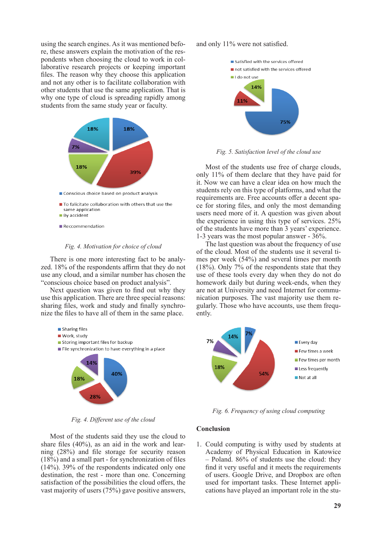using the search engines. As it was mentioned before, these answers explain the motivation of the respondents when choosing the cloud to work in collaborative research projects or keeping important files. The reason why they choose this application and not any other is to facilitate collaboration with other students that use the same application. That is why one type of cloud is spreading rapidly among students from the same study year or faculty.



- To falicitate collaboration with others that use the same application  $\blacksquare$  By accident
- $\blacksquare$  Reccommendation

### *Fig. 4. Motivation for choice of cloud*

There is one more interesting fact to be analyzed. 18% of the respondents affirm that they do not use any cloud, and a similar number has chosen the "conscious choice based on product analysis".

Next question was given to find out why they use this application. There are three special reasons: sharing files, work and study and finally synchronize the files to have all of them in the same place.



*Fig. 4. Different use of the cloud*

Most of the students said they use the cloud to share files (40%), as an aid in the work and learning (28%) and file storage for security reason (18%) and a small part - for synchronization of files (14%). 39% of the respondents indicated only one destination, the rest - more than one. Concerning satisfaction of the possibilities the cloud offers, the vast majority of users (75%) gave positive answers,

## and only 11% were not satisfied.



*Fig. 5. Satisfaction level of the cloud use*

Most of the students use free of charge clouds, only 11% of them declare that they have paid for it. Now we can have a clear idea on how much the students rely on this type of platforms, and what the requirements are. Free accounts offer a decent space for storing files, and only the most demanding users need more of it. A question was given about the experience in using this type of services. 25% of the students have more than 3 years' experience. 1-3 years was the most popular answer - 36%.

The last question was about the frequency of use of the cloud. Most of the students use it several times per week (54%) and several times per month (18%). Only 7% of the respondents state that they use of these tools every day when they do not do homework daily but during week-ends, when they are not at University and need Internet for communication purposes. The vast majority use them regularly. Those who have accounts, use them frequently.



*Fig. 6. Frequency of using cloud computing* 

## **Conclusion**

1. Could computing is withy used by students at Academy of Physical Education in Katowice – Poland. 86% of students use the cloud: they find it very useful and it meets the requirements of users. Google Drive, and Dropbox are often used for important tasks. These Internet applications have played an important role in the stu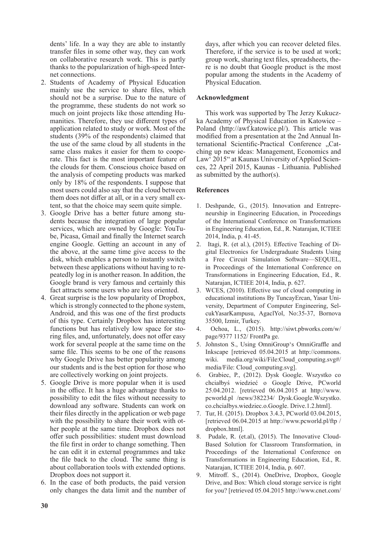dents' life. In a way they are able to instantly transfer files in some other way, they can work on collaborative research work. This is partly thanks to the popularization of high-speed Internet connections.

- 2. Students of Academy of Physical Education mainly use the service to share files, which should not be a surprise. Due to the nature of the programme, these students do not work so much on joint projects like those attending Humanities. Therefore, they use different types of application related to study or work. Most of the students (39% of the respondents) claimed that the use of the same cloud by all students in the same class makes it easier for them to cooperate. This fact is the most important feature of the clouds for them. Conscious choice based on the analysis of competing products was marked only by 18% of the respondents. I suppose that most users could also say that the cloud between them does not differ at all, or in a very small extent, so that the choice may seem quite simple.
- 3. Google Drive has a better future among students because the integration of large popular services, which are owned by Google: YouTube, Picasa, Gmail and finally the Internet search engine Google. Getting an account in any of the above, at the same time give access to the disk, which enables a person to instantly switch between these applications without having to repeatedly log in is another reason. In addition, the Google brand is very famous and certainly this fact attracts some users who are less oriented.
- 4. Great surprise is the low popularity of Dropbox, which is strongly connected to the phone system. Android, and this was one of the first products of this type. Certainly Dropbox has interesting functions but has relatively low space for storing files, and, unfortunately, does not offer easy work for several people at the same time on the same file. This seems to be one of the reasons why Google Drive has better popularity among our students and is the best option for those who are collectively working on joint projects.
- 5. Google Drive is more popular when it is used in the office. It has a huge advantage thanks to possibility to edit the files without necessity to download any software. Students can work on their files directly in the application or web page with the possibility to share their work with other people at the same time. Dropbox does not offer such possibilities: student must download the file first in order to change something. Then he can edit it in external programmes and take the file back to the cloud. The same thing is about collaboration tools with extended options. Dropbox does not support it.
- 6. In the case of both products, the paid version only changes the data limit and the number of

days, after which you can recover deleted files. Therefore, if the service is to be used at work; group work, sharing text files, spreadsheets, there is no doubt that Google product is the most popular among the students in the Academy of Physical Education.

# **Acknowledgment**

This work was supported by The Jerzy Kukuczka Academy of Physical Education in Katowice – Poland (http://awf.katowice.pl/). This article was modified from a presentation at the 2nd Annual International Scientific-Practical Conference "Catching up new ideas: Management, Economics and Law' 2015" at Kaunas University of Applied Sciences, 22 April 2015, Kaunas - Lithuania. Published as submitted by the author(s).

## **References**

- 1. Deshpande, G., (2015). Innovation and Entrepreneurship in Engineering Education, in Proceedings of the International Conference on Transformations in Engineering Education, Ed., R. Natarajan, ICTIEE 2014, India, p. 41-45.
- 2. Itagi, R. (et al.), (2015). Effective Teaching of Digital Electronics for Undergraduate Students Using a Free Circuit Simulation Software—SEQUEL, in Proceedings of the International Conference on Transformations in Engineering Education, Ed., R. Natarajan, ICTIEE 2014, India, p. 627.
- 3. WCES, (2010). Effective use of cloud computing in educational institutions By TuncayErcan, Yasar University, Department of Computer Engineering, SelcukYasarKampusu, AgaclYol, No:35-37, Bornova 35500, Izmir, Turkey.
- 4. Ochoa, L., (2015). http://siwt.pbworks.com/w/ page/9377 1152/ FrontPa ge.
- 5. Johnston S., Using OmniGroup's OmniGraffle and Inkscape [retrieved 05.04.2015 at http://commons. wiki. media.org/wiki/File:Cloud computing.svg#/ media/File: Cloud\_computing.svg].
- 6. Grabiec, P., (2012). Dysk Google. Wszystko co chciałbyś wiedzieć o Google Drive, PCworld 25.04.2012. [retrieved 06.04.2015 at http://www. pcworld.pl /news/382234/ Dysk.Google.Wszystko. co.chcialbys.wiedziec.o.Google. Drive.1.2.html].
- 7. Tur, H. (2015). Dropbox 3.4.3, PCworld 03.04.2015, [retrieved 06.04.2015 at http://www.pcworld.pl/ftp / dropbox.html].
- 8. Pudale, R. (et.al), (2015). The Innovative Cloud-Based Solution for Classroom Transformation, in Proceedings of the International Conference on Transformations in Engineering Education, Ed., R. Natarajan, ICTIEE 2014, India, p. 607.
- 9. Mitroff. S., (2014). OneDrive, Dropbox, Google Drive, and Box: Which cloud storage service is right for you? [retrieved 05.04.2015 http://www.cnet.com/